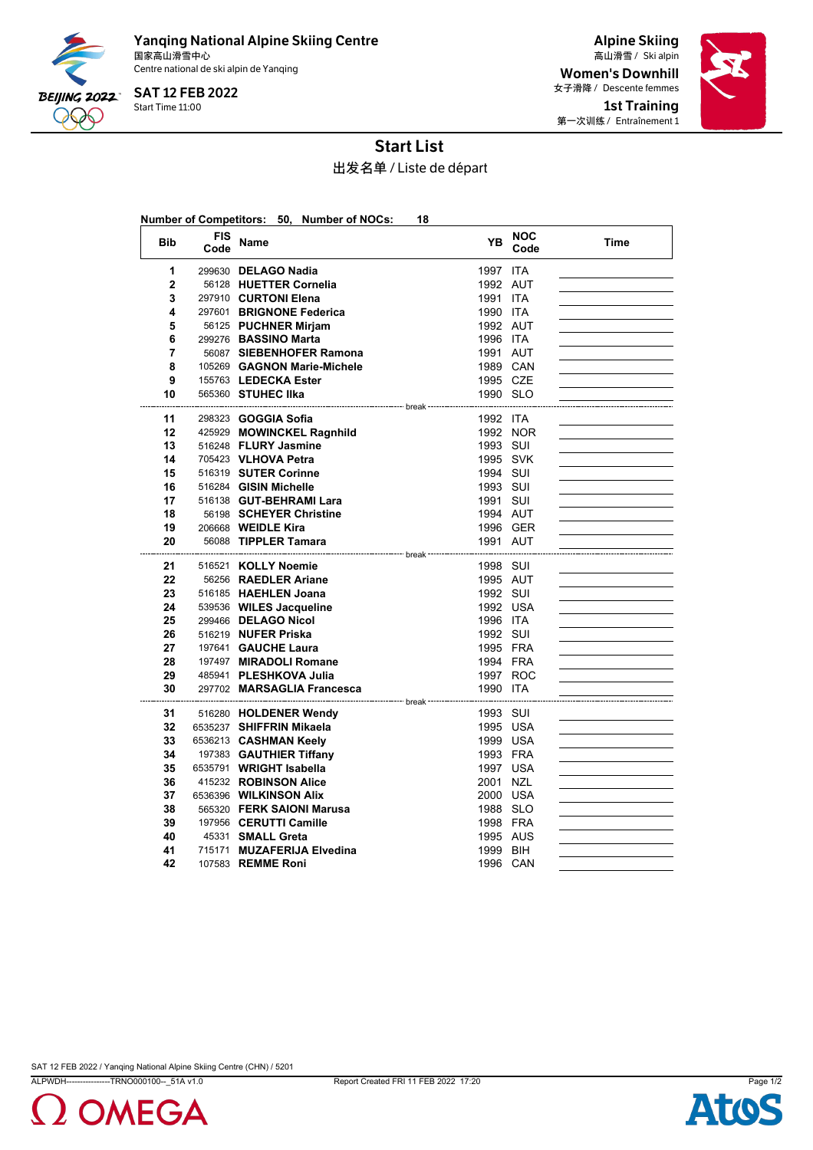

Yanqing National Alpine Skiing Centre 国家高山滑雪中心 Ski alpin 高山滑雪 / Centre national de ski alpin de Yanqing

Start Time 11:00 SAT 12 FEB 2022

Alpine Skiing Women's Downhill 女子滑降 / Descente femmes 1st Training 第一次训练 / Entraînement 1



## Start List

出发名单 / Liste de départ

| Number of Competitors: 50, Number of NOCs:<br>18 |                    |                                                         |                      |                    |      |  |  |  |  |  |  |  |
|--------------------------------------------------|--------------------|---------------------------------------------------------|----------------------|--------------------|------|--|--|--|--|--|--|--|
| <b>Bib</b>                                       | <b>FIS</b><br>Code | <b>Name</b>                                             | <b>YB</b>            | <b>NOC</b><br>Code | Time |  |  |  |  |  |  |  |
| 1                                                |                    | 299630 DELAGO Nadia                                     | 1997 ITA             |                    |      |  |  |  |  |  |  |  |
| $\mathbf{2}$                                     |                    | 56128 HUETTER Cornelia                                  | 1992 AUT             |                    |      |  |  |  |  |  |  |  |
| 3                                                |                    | 297910 CURTONI Elena                                    | 1991 ITA             |                    |      |  |  |  |  |  |  |  |
| 4                                                |                    | 297601 BRIGNONE Federica                                | 1990 ITA             |                    |      |  |  |  |  |  |  |  |
| 5                                                |                    | 56125 PUCHNER Mirjam                                    | 1992 AUT             |                    |      |  |  |  |  |  |  |  |
| 6                                                |                    | 299276 BASSINO Marta                                    | 1996 ITA             |                    |      |  |  |  |  |  |  |  |
| 7                                                |                    | 56087 SIEBENHOFER Ramona                                | 1991 AUT             |                    |      |  |  |  |  |  |  |  |
| 8                                                |                    | 105269 GAGNON Marie-Michele                             | 1989 CAN             |                    |      |  |  |  |  |  |  |  |
| 9                                                |                    | 155763 LEDECKA Ester                                    | 1995 CZE             |                    |      |  |  |  |  |  |  |  |
| 10                                               |                    | 565360 STUHEC IIka                                      | 1990 SLO             |                    |      |  |  |  |  |  |  |  |
|                                                  |                    |                                                         |                      |                    |      |  |  |  |  |  |  |  |
| 11<br>12                                         |                    | 298323 <b>GOGGIA Sofia</b><br>425929 MOWINCKEL Ragnhild | 1992 ITA             | 1992 NOR           |      |  |  |  |  |  |  |  |
| 13                                               |                    | 516248 FLURY Jasmine                                    | 1993 SUI             |                    |      |  |  |  |  |  |  |  |
| 14                                               |                    | 705423 VLHOVA Petra                                     | 1995 SVK             |                    |      |  |  |  |  |  |  |  |
| 15                                               |                    | 516319 SUTER Corinne                                    | 1994 SUI             |                    |      |  |  |  |  |  |  |  |
| 16                                               |                    | 516284 GISIN Michelle                                   | 1993 SUI             |                    |      |  |  |  |  |  |  |  |
| 17                                               |                    | 516138 GUT-BEHRAMI Lara                                 | 1991 SUI             |                    |      |  |  |  |  |  |  |  |
| 18                                               |                    | 56198 SCHEYER Christine                                 | 1994 AUT             |                    |      |  |  |  |  |  |  |  |
| 19                                               |                    | 206668 WEIDLE Kira                                      | 1996 GER             |                    |      |  |  |  |  |  |  |  |
| 20                                               |                    | 56088 TIPPLER Tamara                                    | 1991 AUT             |                    |      |  |  |  |  |  |  |  |
|                                                  |                    | ------------- break                                     |                      |                    |      |  |  |  |  |  |  |  |
| 21                                               |                    | 516521 KOLLY Noemie                                     | 1998 SUI             |                    |      |  |  |  |  |  |  |  |
| 22                                               |                    | 56256 RAEDLER Ariane                                    | 1995 AUT             |                    |      |  |  |  |  |  |  |  |
| 23                                               |                    | 516185 HAEHLEN Joana                                    | 1992 SUI             |                    |      |  |  |  |  |  |  |  |
| 24                                               |                    | 539536 WILES Jacqueline                                 | 1992 USA             |                    |      |  |  |  |  |  |  |  |
| 25                                               |                    | 299466 DELAGO Nicol                                     | 1996 ITA             |                    |      |  |  |  |  |  |  |  |
| 26                                               |                    | 516219 NUFER Priska                                     | 1992 SUI             |                    |      |  |  |  |  |  |  |  |
| 27                                               |                    | 197641 GAUCHE Laura                                     | 1995 FRA             |                    |      |  |  |  |  |  |  |  |
| 28<br>29                                         |                    | 197497 MIRADOLI Romane<br>485941 PLESHKOVA Julia        | 1994 FRA<br>1997 ROC |                    |      |  |  |  |  |  |  |  |
| 30                                               |                    | 297702 MARSAGLIA Francesca                              | 1990 ITA             |                    |      |  |  |  |  |  |  |  |
|                                                  |                    |                                                         |                      |                    |      |  |  |  |  |  |  |  |
| 31                                               |                    | 516280 HOLDENER Wendy                                   | 1993 SUI             |                    |      |  |  |  |  |  |  |  |
| 32                                               |                    | 6535237 SHIFFRIN Mikaela                                | 1995 USA             |                    |      |  |  |  |  |  |  |  |
| 33                                               |                    | 6536213 CASHMAN Keely                                   | 1999 USA             |                    |      |  |  |  |  |  |  |  |
| 34                                               |                    | 197383 GAUTHIER Tiffany                                 | 1993 FRA             |                    |      |  |  |  |  |  |  |  |
| 35                                               |                    | 6535791 WRIGHT Isabella                                 | 1997 USA             |                    |      |  |  |  |  |  |  |  |
| 36                                               |                    | 415232 ROBINSON Alice                                   | 2001 NZL             |                    |      |  |  |  |  |  |  |  |
| 37                                               |                    | 6536396 WILKINSON Alix                                  | 2000 USA             |                    |      |  |  |  |  |  |  |  |
| 38                                               |                    | 565320 FERK SAIONI Marusa                               | 1988 SLO             |                    |      |  |  |  |  |  |  |  |
| 39                                               |                    | 197956 CERUTTI Camille                                  | 1998 FRA             |                    |      |  |  |  |  |  |  |  |
| 40                                               |                    | 45331 SMALL Greta                                       | 1995 AUS             |                    |      |  |  |  |  |  |  |  |
| 41                                               |                    | 715171 MUZAFERIJA Elvedina                              | 1999 BIH             |                    |      |  |  |  |  |  |  |  |
| 42                                               |                    | 107583 REMME Roni                                       | 1996 CAN             |                    |      |  |  |  |  |  |  |  |

SAT 12 FEB 2022 / Yanqing National Alpine Skiing Centre (CHN) / 5201